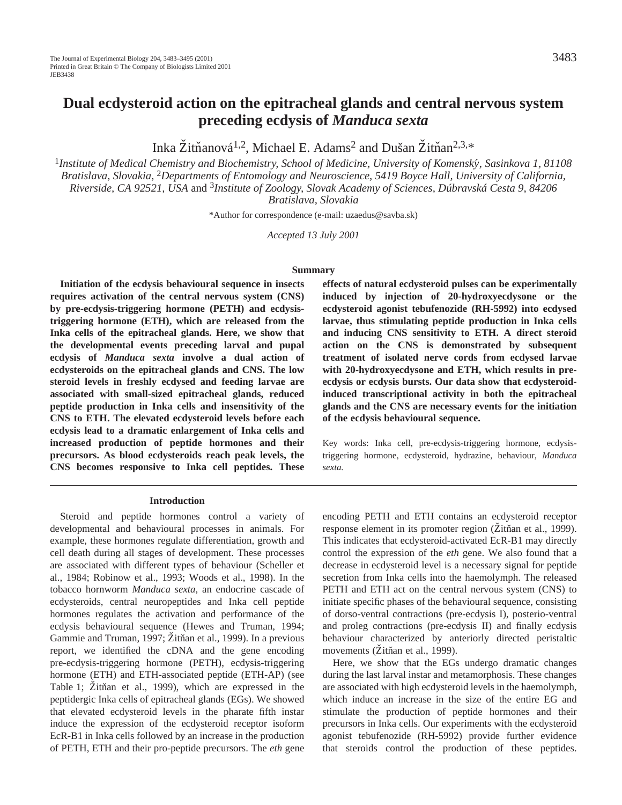# **Dual ecdysteroid action on the epitracheal glands and central nervous system preceding ecdysis of** *Manduca sexta*

Inka Žitňanová<sup>1,2</sup>, Michael E. Adams<sup>2</sup> and Dušan Žitňan<sup>2,3,\*</sup>

<sup>1</sup>*Institute of Medical Chemistry and Biochemistry, School of Medicine, University of Komensky´ , Sasinkova 1, 81108 Bratislava, Slovakia,* 2*Departments of Entomology and Neuroscience, 5419 Boyce Hall, University of California, Riverside, CA 92521, USA* and 3*Institute of Zoology, Slovak Academy of Sciences, Dúbravská Cesta 9, 84206 Bratislava, Slovakia*

\*Author for correspondence (e-mail: uzaedus@savba.sk)

*Accepted 13 July 2001*

#### **Summary**

**Initiation of the ecdysis behavioural sequence in insects requires activation of the central nervous system (CNS) by pre-ecdysis-triggering hormone (PETH) and ecdysistriggering hormone (ETH), which are released from the Inka cells of the epitracheal glands. Here, we show that the developmental events preceding larval and pupal ecdysis of** *Manduca sexta* **involve a dual action of ecdysteroids on the epitracheal glands and CNS. The low steroid levels in freshly ecdysed and feeding larvae are associated with small-sized epitracheal glands, reduced peptide production in Inka cells and insensitivity of the CNS to ETH. The elevated ecdysteroid levels before each ecdysis lead to a dramatic enlargement of Inka cells and increased production of peptide hormones and their precursors. As blood ecdysteroids reach peak levels, the CNS becomes responsive to Inka cell peptides. These**

#### **Introduction**

Steroid and peptide hormones control a variety of developmental and behavioural processes in animals. For example, these hormones regulate differentiation, growth and cell death during all stages of development. These processes are associated with different types of behaviour (Scheller et al., 1984; Robinow et al., 1993; Woods et al., 1998). In the tobacco hornworm *Manduca sexta*, an endocrine cascade of ecdysteroids, central neuropeptides and Inka cell peptide hormones regulates the activation and performance of the ecdysis behavioural sequence (Hewes and Truman, 1994; Gammie and Truman, 1997; Žitňan et al., 1999). In a previous report, we identified the cDNA and the gene encoding pre-ecdysis-triggering hormone (PETH), ecdysis-triggering hormone (ETH) and ETH-associated peptide (ETH-AP) (see Table 1; Žitňan et al., 1999), which are expressed in the peptidergic Inka cells of epitracheal glands (EGs). We showed that elevated ecdysteroid levels in the pharate fifth instar induce the expression of the ecdysteroid receptor isoform EcR-B1 in Inka cells followed by an increase in the production of PETH, ETH and their pro-peptide precursors. The *eth* gene

**effects of natural ecdysteroid pulses can be experimentally induced by injection of 20-hydroxyecdysone or the ecdysteroid agonist tebufenozide (RH-5992) into ecdysed larvae, thus stimulating peptide production in Inka cells and inducing CNS sensitivity to ETH. A direct steroid action on the CNS is demonstrated by subsequent treatment of isolated nerve cords from ecdysed larvae with 20-hydroxyecdysone and ETH, which results in preecdysis or ecdysis bursts. Our data show that ecdysteroidinduced transcriptional activity in both the epitracheal glands and the CNS are necessary events for the initiation of the ecdysis behavioural sequence.**

Key words: Inka cell, pre-ecdysis-triggering hormone, ecdysistriggering hormone, ecdysteroid, hydrazine, behaviour, *Manduca sexta.*

encoding PETH and ETH contains an ecdysteroid receptor response element in its promoter region (Zitňan et al., 1999). This indicates that ecdysteroid-activated EcR-B1 may directly control the expression of the *eth* gene. We also found that a decrease in ecdysteroid level is a necessary signal for peptide secretion from Inka cells into the haemolymph. The released PETH and ETH act on the central nervous system (CNS) to initiate specific phases of the behavioural sequence, consisting of dorso-ventral contractions (pre-ecdysis I), posterio-ventral and proleg contractions (pre-ecdysis II) and finally ecdysis behaviour characterized by anteriorly directed peristaltic movements (Žitňan et al., 1999).

Here, we show that the EGs undergo dramatic changes during the last larval instar and metamorphosis. These changes are associated with high ecdysteroid levels in the haemolymph, which induce an increase in the size of the entire EG and stimulate the production of peptide hormones and their precursors in Inka cells. Our experiments with the ecdysteroid agonist tebufenozide (RH-5992) provide further evidence that steroids control the production of these peptides.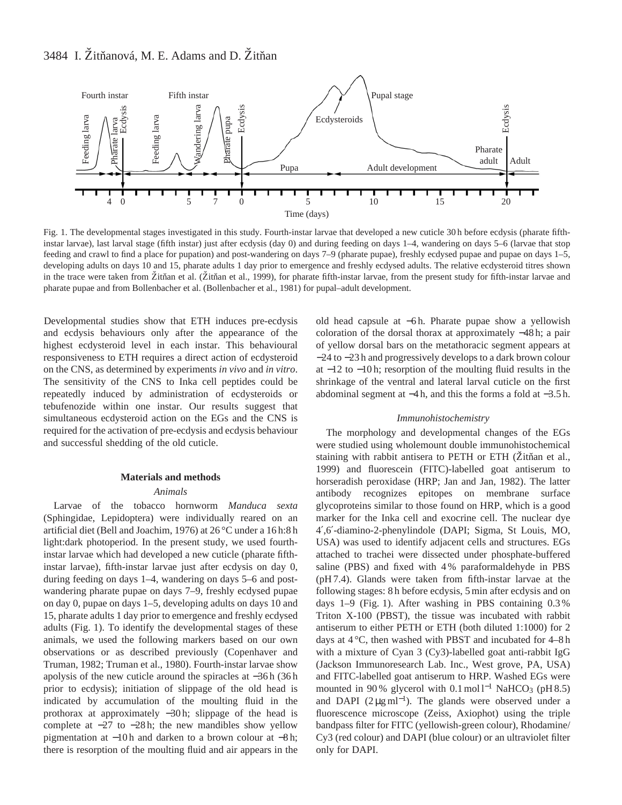

Fig. 1. The developmental stages investigated in this study. Fourth-instar larvae that developed a new cuticle 30 h before ecdysis (pharate fifthinstar larvae), last larval stage (fifth instar) just after ecdysis (day 0) and during feeding on days 1–4, wandering on days 5–6 (larvae that stop feeding and crawl to find a place for pupation) and post-wandering on days 7–9 (pharate pupae), freshly ecdysed pupae and pupae on days 1–5, developing adults on days 10 and 15, pharate adults 1 day prior to emergence and freshly ecdysed adults. The relative ecdysteroid titres shown in the trace were taken from Zitňan et al. (Zitňan et al., 1999), for pharate fifth-instar larvae, from the present study for fifth-instar larvae and pharate pupae and from Bollenbacher et al. (Bollenbacher et al., 1981) for pupal–adult development.

Developmental studies show that ETH induces pre-ecdysis and ecdysis behaviours only after the appearance of the highest ecdysteroid level in each instar. This behavioural responsiveness to ETH requires a direct action of ecdysteroid on the CNS, as determined by experiments *in vivo* and *in vitro*. The sensitivity of the CNS to Inka cell peptides could be repeatedly induced by administration of ecdysteroids or tebufenozide within one instar. Our results suggest that simultaneous ecdysteroid action on the EGs and the CNS is required for the activation of pre-ecdysis and ecdysis behaviour and successful shedding of the old cuticle.

# **Materials and methods** *Animals*

Larvae of the tobacco hornworm *Manduca sexta* (Sphingidae, Lepidoptera) were individually reared on an artificial diet (Bell and Joachim, 1976) at 26 °C under a 16 h:8 h light:dark photoperiod. In the present study, we used fourthinstar larvae which had developed a new cuticle (pharate fifthinstar larvae), fifth-instar larvae just after ecdysis on day 0, during feeding on days 1–4, wandering on days 5–6 and postwandering pharate pupae on days 7–9, freshly ecdysed pupae on day 0, pupae on days 1–5, developing adults on days 10 and 15, pharate adults 1 day prior to emergence and freshly ecdysed adults (Fig. 1). To identify the developmental stages of these animals, we used the following markers based on our own observations or as described previously (Copenhaver and Truman, 1982; Truman et al., 1980). Fourth-instar larvae show apolysis of the new cuticle around the spiracles at −36 h (36 h prior to ecdysis); initiation of slippage of the old head is indicated by accumulation of the moulting fluid in the prothorax at approximately −30 h; slippage of the head is complete at −27 to −28 h; the new mandibles show yellow pigmentation at −10 h and darken to a brown colour at −8 h; there is resorption of the moulting fluid and air appears in the old head capsule at −6 h. Pharate pupae show a yellowish coloration of the dorsal thorax at approximately −48 h; a pair of yellow dorsal bars on the metathoracic segment appears at −24 to −23 h and progressively develops to a dark brown colour at −12 to −10 h; resorption of the moulting fluid results in the shrinkage of the ventral and lateral larval cuticle on the first abdominal segment at −4 h, and this the forms a fold at −3.5 h.

### *Immunohistochemistry*

The morphology and developmental changes of the EGs were studied using wholemount double immunohistochemical staining with rabbit antisera to PETH or ETH (Zitňan et al., 1999) and fluorescein (FITC)-labelled goat antiserum to horseradish peroxidase (HRP; Jan and Jan, 1982). The latter antibody recognizes epitopes on membrane surface glycoproteins similar to those found on HRP, which is a good marker for the Inka cell and exocrine cell. The nuclear dye 4′,6′-diamino-2-phenylindole (DAPI; Sigma, St Louis, MO, USA) was used to identify adjacent cells and structures. EGs attached to trachei were dissected under phosphate-buffered saline (PBS) and fixed with 4 % paraformaldehyde in PBS (pH 7.4). Glands were taken from fifth-instar larvae at the following stages: 8 h before ecdysis, 5 min after ecdysis and on days 1–9 (Fig. 1). After washing in PBS containing 0.3 % Triton X-100 (PBST), the tissue was incubated with rabbit antiserum to either PETH or ETH (both diluted 1:1000) for 2 days at 4 °C, then washed with PBST and incubated for 4–8 h with a mixture of Cyan 3 (Cy3)-labelled goat anti-rabbit IgG (Jackson Immunoresearch Lab. Inc., West grove, PA, USA) and FITC-labelled goat antiserum to HRP. Washed EGs were mounted in 90 % glycerol with 0.1 mol  $l^{-1}$  NaHCO<sub>3</sub> (pH 8.5) and DAPI  $(2 \mu g \text{ ml}^{-1})$ . The glands were observed under a fluorescence microscope (Zeiss, Axiophot) using the triple bandpass filter for FITC (yellowish-green colour), Rhodamine/ Cy3 (red colour) and DAPI (blue colour) or an ultraviolet filter only for DAPI.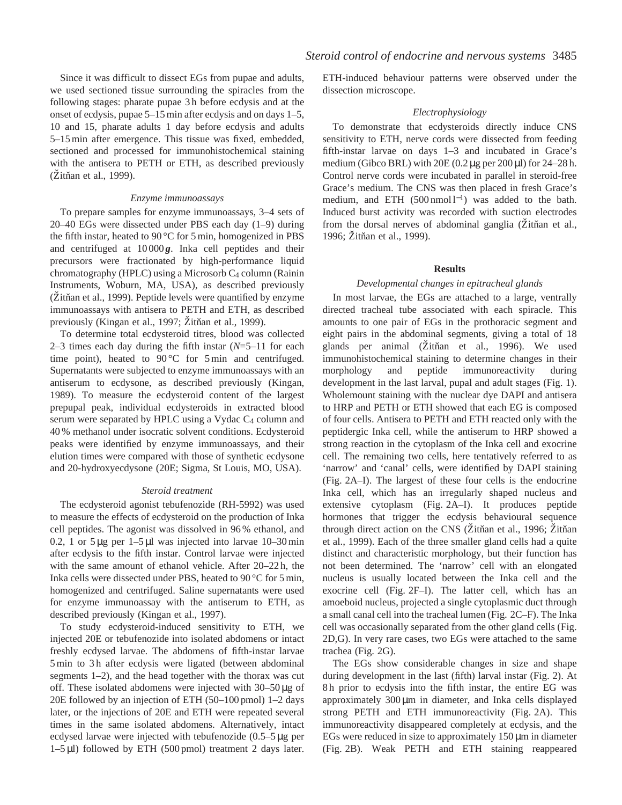### *Electrophysiology*

To demonstrate that ecdysteroids directly induce CNS sensitivity to ETH, nerve cords were dissected from feeding fifth-instar larvae on days 1–3 and incubated in Grace's medium (Gibco BRL) with  $20E (0.2 \mu g$  per  $200 \mu l$ ) for  $24-28 h$ . Control nerve cords were incubated in parallel in steroid-free Grace's medium. The CNS was then placed in fresh Grace's medium, and ETH (500 nmol l<sup>-1</sup>) was added to the bath. Induced burst activity was recorded with suction electrodes from the dorsal nerves of abdominal ganglia ( $\check{Z}$ itňan et al., 1996; Žitňan et al., 1999).

### **Results**

### *Developmental changes in epitracheal glands*

In most larvae, the EGs are attached to a large, ventrally directed tracheal tube associated with each spiracle. This amounts to one pair of EGs in the prothoracic segment and eight pairs in the abdominal segments, giving a total of 18 glands per animal (Žitňan et al., 1996). We used immunohistochemical staining to determine changes in their morphology and peptide immunoreactivity during development in the last larval, pupal and adult stages (Fig. 1). Wholemount staining with the nuclear dye DAPI and antisera to HRP and PETH or ETH showed that each EG is composed of four cells. Antisera to PETH and ETH reacted only with the peptidergic Inka cell, while the antiserum to HRP showed a strong reaction in the cytoplasm of the Inka cell and exocrine cell. The remaining two cells, here tentatively referred to as 'narrow' and 'canal' cells, were identified by DAPI staining (Fig. 2A–I). The largest of these four cells is the endocrine Inka cell, which has an irregularly shaped nucleus and extensive cytoplasm (Fig. 2A–I). It produces peptide hormones that trigger the ecdysis behavioural sequence through direct action on the CNS (Žitňan et al., 1996; Žitňan et al., 1999). Each of the three smaller gland cells had a quite distinct and characteristic morphology, but their function has not been determined. The 'narrow' cell with an elongated nucleus is usually located between the Inka cell and the exocrine cell (Fig. 2F–I). The latter cell, which has an amoeboid nucleus, projected a single cytoplasmic duct through a small canal cell into the tracheal lumen (Fig. 2C–F). The Inka cell was occasionally separated from the other gland cells (Fig. 2D,G). In very rare cases, two EGs were attached to the same trachea (Fig. 2G).

The EGs show considerable changes in size and shape during development in the last (fifth) larval instar (Fig. 2). At 8 h prior to ecdysis into the fifth instar, the entire EG was approximately 300 µm in diameter, and Inka cells displayed strong PETH and ETH immunoreactivity (Fig. 2A). This immunoreactivity disappeared completely at ecdysis, and the EGs were reduced in size to approximately  $150 \mu m$  in diameter (Fig. 2B). Weak PETH and ETH staining reappeared

Since it was difficult to dissect EGs from pupae and adults, we used sectioned tissue surrounding the spiracles from the following stages: pharate pupae 3 h before ecdysis and at the onset of ecdysis, pupae 5–15 min after ecdysis and on days 1–5, 10 and 15, pharate adults 1 day before ecdysis and adults 5–15 min after emergence. This tissue was fixed, embedded, sectioned and processed for immunohistochemical staining with the antisera to PETH or ETH, as described previously  $(Zitñan et al., 1999)$ .

### *Enzyme immunoassays*

To prepare samples for enzyme immunoassays, 3–4 sets of 20–40 EGs were dissected under PBS each day (1–9) during the fifth instar, heated to 90 °C for 5 min, homogenized in PBS and centrifuged at 10 000 *g*. Inka cell peptides and their precursors were fractionated by high-performance liquid chromatography (HPLC) using a Microsorb C4 column (Rainin Instruments, Woburn, MA, USA), as described previously  $(Z$ itñan et al., 1999). Peptide levels were quantified by enzyme immunoassays with antisera to PETH and ETH, as described previously (Kingan et al., 1997; Žitňan et al., 1999).

To determine total ecdysteroid titres, blood was collected 2–3 times each day during the fifth instar (*N*=5–11 for each time point), heated to  $90^{\circ}$ C for 5 min and centrifuged. Supernatants were subjected to enzyme immunoassays with an antiserum to ecdysone, as described previously (Kingan, 1989). To measure the ecdysteroid content of the largest prepupal peak, individual ecdysteroids in extracted blood serum were separated by HPLC using a Vydac C<sub>4</sub> column and 40 % methanol under isocratic solvent conditions. Ecdysteroid peaks were identified by enzyme immunoassays, and their elution times were compared with those of synthetic ecdysone and 20-hydroxyecdysone (20E; Sigma, St Louis, MO, USA).

### *Steroid treatment*

The ecdysteroid agonist tebufenozide (RH-5992) was used to measure the effects of ecdysteroid on the production of Inka cell peptides. The agonist was dissolved in 96 % ethanol, and 0.2, 1 or  $5 \mu g$  per 1– $5 \mu l$  was injected into larvae 10–30 min after ecdysis to the fifth instar. Control larvae were injected with the same amount of ethanol vehicle. After 20–22 h, the Inka cells were dissected under PBS, heated to 90 °C for 5 min, homogenized and centrifuged. Saline supernatants were used for enzyme immunoassay with the antiserum to ETH, as described previously (Kingan et al., 1997).

To study ecdysteroid-induced sensitivity to ETH, we injected 20E or tebufenozide into isolated abdomens or intact freshly ecdysed larvae. The abdomens of fifth-instar larvae 5 min to 3 h after ecdysis were ligated (between abdominal segments 1–2), and the head together with the thorax was cut off. These isolated abdomens were injected with  $30-50 \mu g$  of 20E followed by an injection of ETH (50–100 pmol) 1–2 days later, or the injections of 20E and ETH were repeated several times in the same isolated abdomens. Alternatively, intact ecdysed larvae were injected with tebufenozide (0.5–5 µg per 1–5 µl) followed by ETH (500 pmol) treatment 2 days later.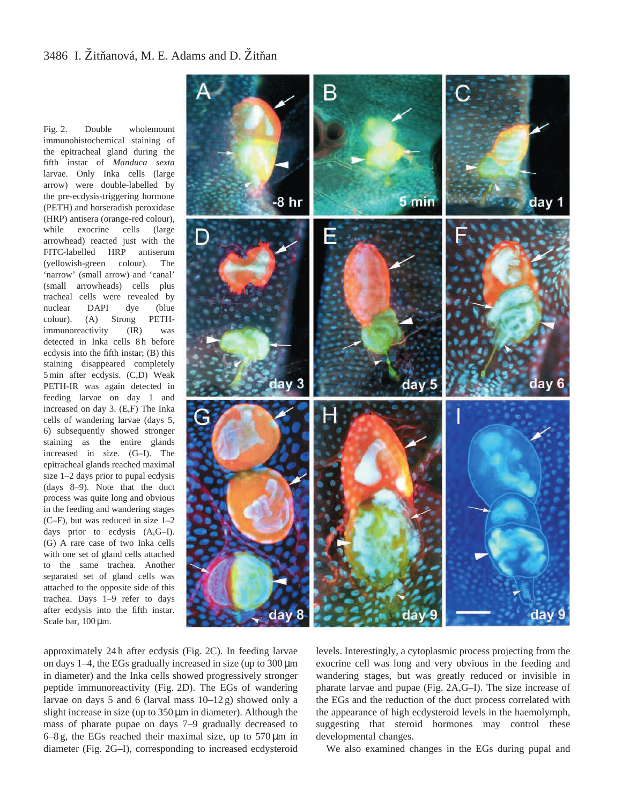Fig. 2. Double wholemount immunohistochemical staining of the epitracheal gland during the fifth instar of *Manduca sexta* larvae. Only Inka cells (large arrow) were double-labelled by the pre-ecdysis-triggering hormone (PETH) and horseradish peroxidase (HRP) antisera (orange-red colour), while exocrine cells (large arrowhead) reacted just with the FITC-labelled HRP antiserum (yellowish-green colour). The 'narrow' (small arrow) and 'canal' (small arrowheads) cells plus tracheal cells were revealed by nuclear DAPI dye (blue colour). (A) Strong PETHimmunoreactivity (IR) was detected in Inka cells 8h before ecdysis into the fifth instar; (B) this staining disappeared completely 5 min after ecdysis. (C,D) Weak PETH-IR was again detected in feeding larvae on day 1 and increased on day 3. (E,F) The Inka cells of wandering larvae (days 5, 6) subsequently showed stronger staining as the entire glands increased in size. (G–I). The epitracheal glands reached maximal size 1–2 days prior to pupal ecdysis (days 8–9). Note that the duct process was quite long and obvious in the feeding and wandering stages (C–F), but was reduced in size 1–2 days prior to ecdysis (A,G–I). (G) A rare case of two Inka cells with one set of gland cells attached to the same trachea. Another separated set of gland cells was attached to the opposite side of this trachea. Days 1–9 refer to days after ecdysis into the fifth instar. Scale bar,  $100 \,\mu m$ .



approximately 24 h after ecdysis (Fig. 2C). In feeding larvae on days 1–4, the EGs gradually increased in size (up to 300 µm in diameter) and the Inka cells showed progressively stronger peptide immunoreactivity (Fig. 2D). The EGs of wandering larvae on days 5 and 6 (larval mass  $10-12$  g) showed only a slight increase in size (up to  $350 \mu m$  in diameter). Although the mass of pharate pupae on days 7–9 gradually decreased to  $6-8$  g, the EGs reached their maximal size, up to  $570 \,\mu m$  in diameter (Fig. 2G–I), corresponding to increased ecdysteroid

levels. Interestingly, a cytoplasmic process projecting from the exocrine cell was long and very obvious in the feeding and wandering stages, but was greatly reduced or invisible in pharate larvae and pupae (Fig. 2A,G–I). The size increase of the EGs and the reduction of the duct process correlated with the appearance of high ecdysteroid levels in the haemolymph, suggesting that steroid hormones may control these developmental changes.

We also examined changes in the EGs during pupal and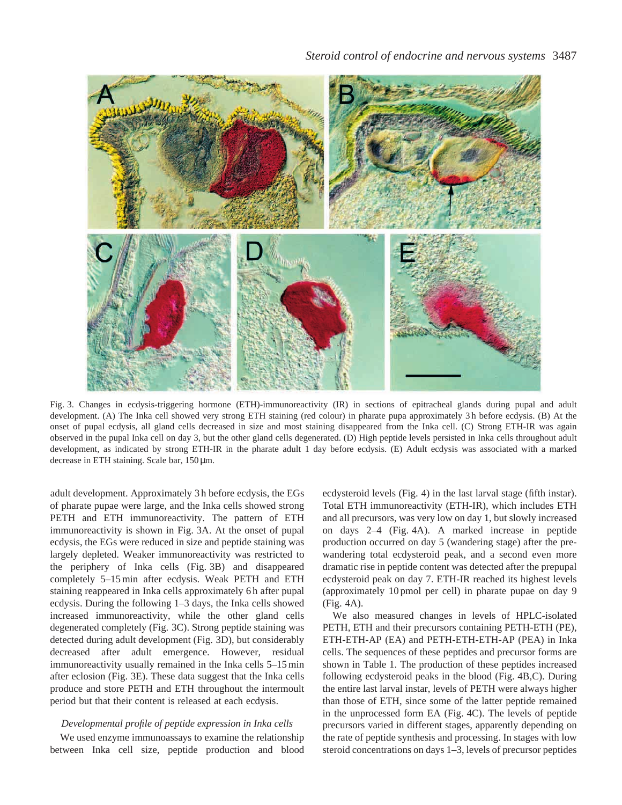

Fig. 3. Changes in ecdysis-triggering hormone (ETH)-immunoreactivity (IR) in sections of epitracheal glands during pupal and adult development. (A) The Inka cell showed very strong ETH staining (red colour) in pharate pupa approximately 3 h before ecdysis. (B) At the onset of pupal ecdysis, all gland cells decreased in size and most staining disappeared from the Inka cell. (C) Strong ETH-IR was again observed in the pupal Inka cell on day 3, but the other gland cells degenerated. (D) High peptide levels persisted in Inka cells throughout adult development, as indicated by strong ETH-IR in the pharate adult 1 day before ecdysis. (E) Adult ecdysis was associated with a marked decrease in ETH staining. Scale bar, 150 µm.

adult development. Approximately 3 h before ecdysis, the EGs of pharate pupae were large, and the Inka cells showed strong PETH and ETH immunoreactivity. The pattern of ETH immunoreactivity is shown in Fig. 3A. At the onset of pupal ecdysis, the EGs were reduced in size and peptide staining was largely depleted. Weaker immunoreactivity was restricted to the periphery of Inka cells (Fig. 3B) and disappeared completely 5–15 min after ecdysis. Weak PETH and ETH staining reappeared in Inka cells approximately 6 h after pupal ecdysis. During the following 1–3 days, the Inka cells showed increased immunoreactivity, while the other gland cells degenerated completely (Fig. 3C). Strong peptide staining was detected during adult development (Fig. 3D), but considerably decreased after adult emergence. However, residual immunoreactivity usually remained in the Inka cells 5–15 min after eclosion (Fig. 3E). These data suggest that the Inka cells produce and store PETH and ETH throughout the intermoult period but that their content is released at each ecdysis.

# *Developmental profile of peptide expression in Inka cells*

We used enzyme immunoassays to examine the relationship between Inka cell size, peptide production and blood ecdysteroid levels (Fig. 4) in the last larval stage (fifth instar). Total ETH immunoreactivity (ETH-IR), which includes ETH and all precursors, was very low on day 1, but slowly increased on days 2–4 (Fig. 4A). A marked increase in peptide production occurred on day 5 (wandering stage) after the prewandering total ecdysteroid peak, and a second even more dramatic rise in peptide content was detected after the prepupal ecdysteroid peak on day 7. ETH-IR reached its highest levels (approximately 10 pmol per cell) in pharate pupae on day 9 (Fig. 4A).

We also measured changes in levels of HPLC-isolated PETH, ETH and their precursors containing PETH-ETH (PE), ETH-ETH-AP (EA) and PETH-ETH-ETH-AP (PEA) in Inka cells. The sequences of these peptides and precursor forms are shown in Table 1. The production of these peptides increased following ecdysteroid peaks in the blood (Fig. 4B,C). During the entire last larval instar, levels of PETH were always higher than those of ETH, since some of the latter peptide remained in the unprocessed form EA (Fig. 4C). The levels of peptide precursors varied in different stages, apparently depending on the rate of peptide synthesis and processing. In stages with low steroid concentrations on days 1–3, levels of precursor peptides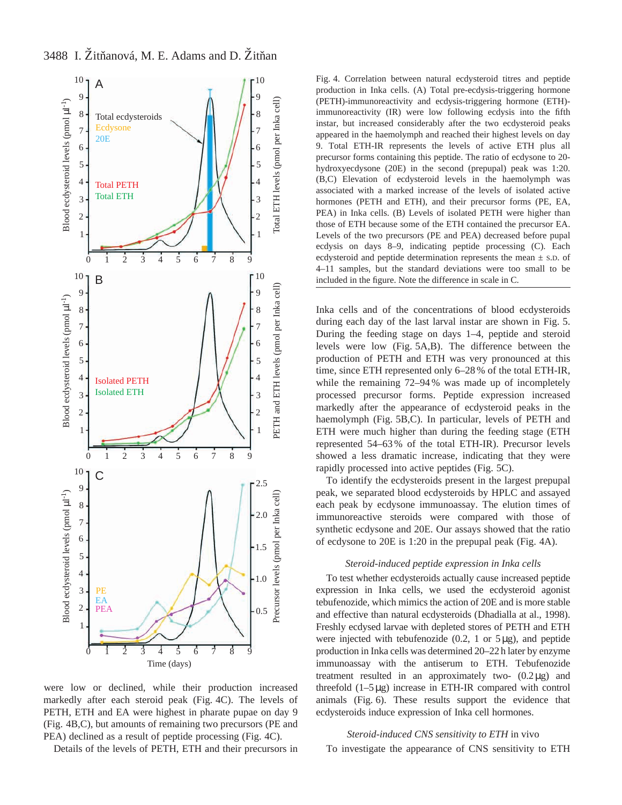3488 I. Žitňanová, M. E. Adams and D. Žitňan



were low or declined, while their production increased markedly after each steroid peak (Fig. 4C). The levels of PETH, ETH and EA were highest in pharate pupae on day 9 (Fig. 4B,C), but amounts of remaining two precursors (PE and PEA) declined as a result of peptide processing (Fig. 4C).

Details of the levels of PETH, ETH and their precursors in

Fig. 4. Correlation between natural ecdysteroid titres and peptide production in Inka cells. (A) Total pre-ecdysis-triggering hormone (PETH)-immunoreactivity and ecdysis-triggering hormone (ETH) immunoreactivity (IR) were low following ecdysis into the fifth instar, but increased considerably after the two ecdysteroid peaks appeared in the haemolymph and reached their highest levels on day 9. Total ETH-IR represents the levels of active ETH plus all precursor forms containing this peptide. The ratio of ecdysone to 20 hydroxyecdysone (20E) in the second (prepupal) peak was 1:20. (B,C) Elevation of ecdysteroid levels in the haemolymph was associated with a marked increase of the levels of isolated active hormones (PETH and ETH), and their precursor forms (PE, EA, PEA) in Inka cells. (B) Levels of isolated PETH were higher than those of ETH because some of the ETH contained the precursor EA. Levels of the two precursors (PE and PEA) decreased before pupal ecdysis on days 8–9, indicating peptide processing (C). Each ecdysteroid and peptide determination represents the mean  $\pm$  s.D. of 4–11 samples, but the standard deviations were too small to be included in the figure. Note the difference in scale in C.

Inka cells and of the concentrations of blood ecdysteroids during each day of the last larval instar are shown in Fig. 5. During the feeding stage on days 1–4, peptide and steroid levels were low (Fig. 5A,B). The difference between the production of PETH and ETH was very pronounced at this time, since ETH represented only 6–28 % of the total ETH-IR, while the remaining 72–94% was made up of incompletely processed precursor forms. Peptide expression increased markedly after the appearance of ecdysteroid peaks in the haemolymph (Fig. 5B,C). In particular, levels of PETH and ETH were much higher than during the feeding stage (ETH represented 54–63 % of the total ETH-IR). Precursor levels showed a less dramatic increase, indicating that they were rapidly processed into active peptides (Fig. 5C).

To identify the ecdysteroids present in the largest prepupal peak, we separated blood ecdysteroids by HPLC and assayed each peak by ecdysone immunoassay. The elution times of immunoreactive steroids were compared with those of synthetic ecdysone and 20E. Our assays showed that the ratio of ecdysone to 20E is 1:20 in the prepupal peak (Fig. 4A).

## *Steroid-induced peptide expression in Inka cells*

To test whether ecdysteroids actually cause increased peptide expression in Inka cells, we used the ecdysteroid agonist tebufenozide, which mimics the action of 20E and is more stable and effective than natural ecdysteroids (Dhadialla at al., 1998). Freshly ecdysed larvae with depleted stores of PETH and ETH were injected with tebufenozide (0.2, 1 or 5µg), and peptide production in Inka cells was determined 20–22 h later by enzyme immunoassay with the antiserum to ETH. Tebufenozide treatment resulted in an approximately two-  $(0.2 \mu g)$  and threefold (1–5µg) increase in ETH-IR compared with control animals (Fig. 6). These results support the evidence that ecdysteroids induce expression of Inka cell hormones.

# *Steroid-induced CNS sensitivity to ETH* in vivo

To investigate the appearance of CNS sensitivity to ETH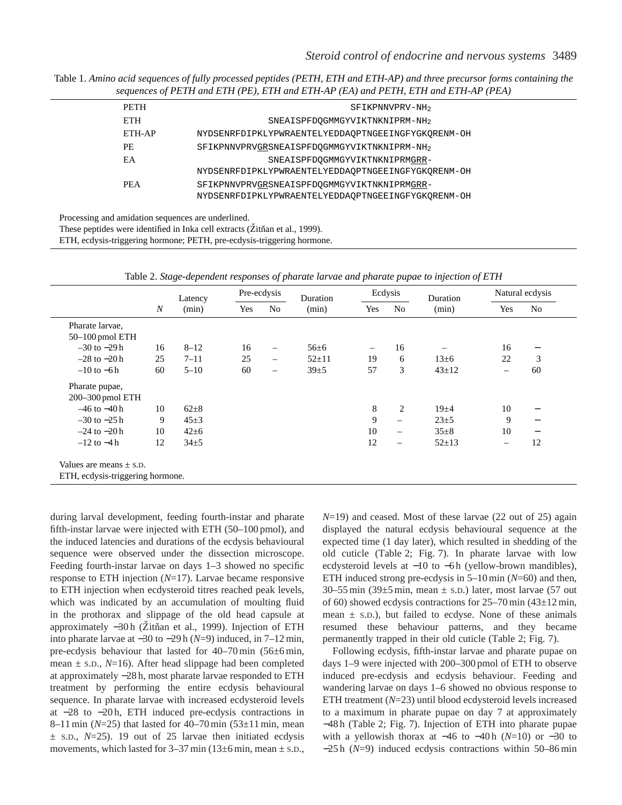Table 1. *Amino acid sequences of fully processed peptides (PETH, ETH and ETH-AP) and three precursor forms containing the sequences of PETH and ETH (PE), ETH and ETH-AP (EA) and PETH, ETH and ETH-AP (PEA)*

| <b>PETH</b> |                                                                                                   |                                            | SFIKPNNVPRV-NH2 |  |
|-------------|---------------------------------------------------------------------------------------------------|--------------------------------------------|-----------------|--|
| <b>ETH</b>  |                                                                                                   | SNEAISPFDOGMMGYVIKTNKNIPRM-NH <sub>2</sub> |                 |  |
| ETH-AP      | NYDSENRFDIPKLYPWRAENTELYEDDAOPTNGEEINGFYGKORENM-OH                                                |                                            |                 |  |
| PE.         | SFIKPNNVPRVGRSNEAISPFDQGMMGYVIKTNKNIPRM-NH <sub>2</sub>                                           |                                            |                 |  |
| EA          |                                                                                                   | SNEAISPFDOGMMGYVIKTNKNIPRMGRR-             |                 |  |
|             | NYDSENRFDIPKLYPWRAENTELYEDDAOPTNGEEINGFYGKORENM-OH                                                |                                            |                 |  |
| <b>PEA</b>  | SFIKPNNVPRVGRSNEAISPFDOGMMGYVIKTNKNIPRMGRR-<br>NYDSENRFDIPKLYPWRAENTELYEDDAOPTNGEEINGFYGKORENM-OH |                                            |                 |  |
|             |                                                                                                   |                                            |                 |  |

Processing and amidation sequences are underlined.

These peptides were identified in Inka cell extracts (Žitňan et al., 1999).

ETH, ecdysis-triggering hormone; PETH, pre-ecdysis-triggering hormone.

Latency Pre-ecdysis Duration Ecdysis Duration Natural ecdysis *N* (min) Yes No (min) Yes No (min) Yes No Pharate larvae, 50–100 pmol ETH –30 to −29 h 16 8–12 16 – 56±6 – 16 – 16 −  $-28$  to  $-20$  h 25 7–11 25 – 52±11 19 6 13±6 22 3 –10 to −6 h 60 5–10 60 – 39±5 57 3 43±12 – 60 Pharate pupae, 200–300 pmol ETH  $-46$  to  $-40$  h 10 62±8 s and the set of  $\frac{8}{2}$  19±4 10 −  $-30$  to  $-25$  h 9 45±3 9 − 23±5 9 −  $-24$  to  $-20$  h 10 42±6 10 − 35±8 10 −  $-12$  to  $-4$  h 12  $34\pm5$  12 − 52±13 − 12 Values are means  $\pm$  s.D. ETH, ecdysis-triggering hormone.

Table 2. *Stage-dependent responses of pharate larvae and pharate pupae to injection of ETH*

during larval development, feeding fourth-instar and pharate fifth-instar larvae were injected with ETH (50–100 pmol), and the induced latencies and durations of the ecdysis behavioural sequence were observed under the dissection microscope. Feeding fourth-instar larvae on days 1–3 showed no specific response to ETH injection (*N*=17). Larvae became responsive to ETH injection when ecdysteroid titres reached peak levels, which was indicated by an accumulation of moulting fluid in the prothorax and slippage of the old head capsule at approximately −30 h (Zitňan et al., 1999). Injection of ETH into pharate larvae at −30 to −29 h (*N*=9) induced, in 7–12 min, pre-ecdysis behaviour that lasted for 40–70 min (56±6 min, mean ± S.D., *N*=16). After head slippage had been completed at approximately −28 h, most pharate larvae responded to ETH treatment by performing the entire ecdysis behavioural sequence. In pharate larvae with increased ecdysteroid levels at −28 to −20 h, ETH induced pre-ecdysis contractions in 8–11 min (*N*=25) that lasted for 40–70 min (53±11 min, mean  $\pm$  s.D.,  $N=25$ ). 19 out of 25 larvae then initiated ecdysis movements, which lasted for  $3-37$  min ( $13\pm6$  min, mean  $\pm$  s.D., *N*=19) and ceased. Most of these larvae (22 out of 25) again displayed the natural ecdysis behavioural sequence at the expected time (1 day later), which resulted in shedding of the old cuticle (Table 2; Fig. 7). In pharate larvae with low ecdysteroid levels at −10 to −6 h (yellow-brown mandibles), ETH induced strong pre-ecdysis in 5–10 min (*N*=60) and then, 30–55 min (39 $\pm$ 5 min, mean  $\pm$  s.D.) later, most larvae (57 out of 60) showed ecdysis contractions for  $25-70$  min (43 $\pm$ 12 min, mean  $\pm$  s.p.), but failed to ecdyse. None of these animals resumed these behaviour patterns, and they became permanently trapped in their old cuticle (Table 2; Fig. 7).

Following ecdysis, fifth-instar larvae and pharate pupae on days 1–9 were injected with 200–300 pmol of ETH to observe induced pre-ecdysis and ecdysis behaviour. Feeding and wandering larvae on days 1–6 showed no obvious response to ETH treatment (*N*=23) until blood ecdysteroid levels increased to a maximum in pharate pupae on day 7 at approximately −48 h (Table 2; Fig. 7). Injection of ETH into pharate pupae with a yellowish thorax at −46 to −40 h ( $N=10$ ) or −30 to −25 h (*N*=9) induced ecdysis contractions within 50–86 min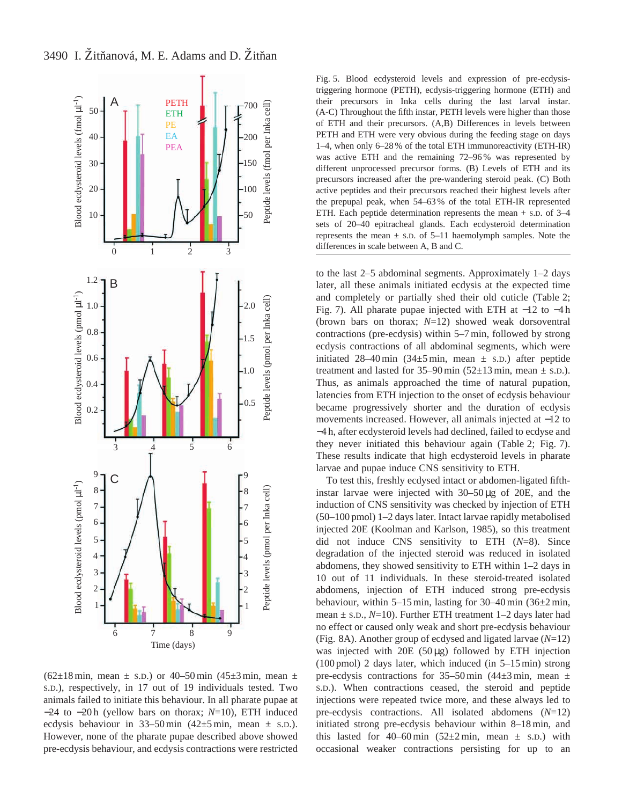$(62\pm18 \text{ min}, \text{ mean } \pm \text{ s.D.})$  or 40–50 min  $(45\pm3 \text{ min}, \text{ mean } \pm \text{ s.})$ S.D.), respectively, in 17 out of 19 individuals tested. Two animals failed to initiate this behaviour. In all pharate pupae at −24 to −20 h (yellow bars on thorax; *N*=10), ETH induced ecdysis behaviour in 33–50 min  $(42\pm5 \text{ min}, \text{ mean } \pm \text{ s.D.})$ . However, none of the pharate pupae described above showed pre-ecdysis behaviour, and ecdysis contractions were restricted

To test this, freshly ecdysed intact or abdomen-ligated fifthinstar larvae were injected with 30–50 µg of 20E, and the induction of CNS sensitivity was checked by injection of ETH (50–100 pmol) 1–2 days later. Intact larvae rapidly metabolised injected 20E (Koolman and Karlson, 1985), so this treatment did not induce CNS sensitivity to ETH (*N*=8). Since degradation of the injected steroid was reduced in isolated abdomens, they showed sensitivity to ETH within 1–2 days in 10 out of 11 individuals. In these steroid-treated isolated abdomens, injection of ETH induced strong pre-ecdysis behaviour, within 5–15 min, lasting for 30–40 min (36±2 min, mean ± S.D., *N*=10). Further ETH treatment 1–2 days later had no effect or caused only weak and short pre-ecdysis behaviour (Fig. 8A). Another group of ecdysed and ligated larvae (*N*=12) was injected with  $20E(50 \mu g)$  followed by ETH injection (100 pmol) 2 days later, which induced (in 5–15 min) strong pre-ecdysis contractions for  $35-50$  min  $(44\pm3$  min, mean  $\pm$ S.D.). When contractions ceased, the steroid and peptide injections were repeated twice more, and these always led to pre-ecdysis contractions. All isolated abdomens (*N*=12) initiated strong pre-ecdysis behaviour within 8–18 min, and this lasted for 40–60 min  $(52\pm2 \text{ min}, \text{ mean } \pm \text{ s.D.})$  with occasional weaker contractions persisting for up to an

to the last 2–5 abdominal segments. Approximately 1–2 days later, all these animals initiated ecdysis at the expected time and completely or partially shed their old cuticle (Table 2; Fig. 7). All pharate pupae injected with ETH at −12 to −4 h (brown bars on thorax; *N*=12) showed weak dorsoventral contractions (pre-ecdysis) within 5–7 min, followed by strong ecdysis contractions of all abdominal segments, which were initiated 28–40 min  $(34\pm5 \text{ min}, \text{ mean } \pm \text{ s.D.})$  after peptide treatment and lasted for  $35-90 \text{ min}$  ( $52\pm13 \text{ min}$ , mean  $\pm$  s.p.). Thus, as animals approached the time of natural pupation, latencies from ETH injection to the onset of ecdysis behaviour became progressively shorter and the duration of ecdysis movements increased. However, all animals injected at −12 to −4 h, after ecdysteroid levels had declined, failed to ecdyse and they never initiated this behaviour again (Table 2; Fig. 7). These results indicate that high ecdysteroid levels in pharate larvae and pupae induce CNS sensitivity to ETH.

Fig. 5. Blood ecdysteroid levels and expression of pre-ecdysistriggering hormone (PETH), ecdysis-triggering hormone (ETH) and their precursors in Inka cells during the last larval instar. (A-C) Throughout the fifth instar, PETH levels were higher than those of ETH and their precursors. (A,B) Differences in levels between PETH and ETH were very obvious during the feeding stage on days 1–4, when only 6–28 % of the total ETH immunoreactivity (ETH-IR) was active ETH and the remaining 72–96 % was represented by different unprocessed precursor forms. (B) Levels of ETH and its precursors increased after the pre-wandering steroid peak. (C) Both active peptides and their precursors reached their highest levels after the prepupal peak, when 54–63 % of the total ETH-IR represented ETH. Each peptide determination represents the mean + S.D. of 3–4 sets of 20–40 epitracheal glands. Each ecdysteroid determination represents the mean  $\pm$  s.D. of 5–11 haemolymph samples. Note the differences in scale between A, B and C.

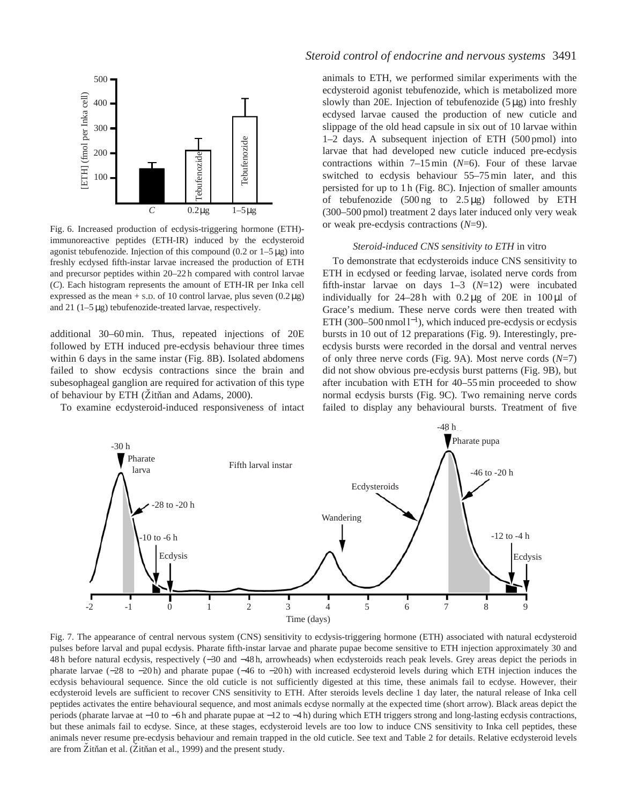

Fig. 6. Increased production of ecdysis-triggering hormone (ETH) immunoreactive peptides (ETH-IR) induced by the ecdysteroid agonist tebufenozide. Injection of this compound  $(0.2 \text{ or } 1-5 \mu g)$  into freshly ecdysed fifth-instar larvae increased the production of ETH and precursor peptides within 20–22 h compared with control larvae (*C*). Each histogram represents the amount of ETH-IR per Inka cell expressed as the mean  $+$  s.p. of 10 control larvae, plus seven  $(0.2 \mu g)$ and 21 (1–5 µg) tebufenozide-treated larvae, respectively.

additional 30–60 min. Thus, repeated injections of 20E followed by ETH induced pre-ecdysis behaviour three times within 6 days in the same instar (Fig. 8B). Isolated abdomens failed to show ecdysis contractions since the brain and subesophageal ganglion are required for activation of this type of behaviour by ETH (Žitňan and Adams, 2000).

To examine ecdysteroid-induced responsiveness of intact

# *Steroid control of endocrine and nervous systems* 3491

animals to ETH, we performed similar experiments with the ecdysteroid agonist tebufenozide, which is metabolized more slowly than 20E. Injection of tebufenozide  $(5 \mu g)$  into freshly ecdysed larvae caused the production of new cuticle and slippage of the old head capsule in six out of 10 larvae within 1–2 days. A subsequent injection of ETH (500 pmol) into larvae that had developed new cuticle induced pre-ecdysis contractions within 7–15 min (*N*=6). Four of these larvae switched to ecdysis behaviour 55–75 min later, and this persisted for up to 1 h (Fig. 8C). Injection of smaller amounts of tebufenozide  $(500 \text{ ng}$  to  $2.5 \mu g)$  followed by ETH (300–500 pmol) treatment 2 days later induced only very weak or weak pre-ecdysis contractions (*N*=9).

## *Steroid-induced CNS sensitivity to ETH* in vitro

To demonstrate that ecdysteroids induce CNS sensitivity to ETH in ecdysed or feeding larvae, isolated nerve cords from fifth-instar larvae on days 1–3 (*N*=12) were incubated individually for  $24-28h$  with  $0.2 \mu$ g of  $20E$  in  $100 \mu$ l of Grace's medium. These nerve cords were then treated with ETH (300–500 nmol  $l^{-1}$ ), which induced pre-ecdysis or ecdysis bursts in 10 out of 12 preparations (Fig. 9). Interestingly, preecdysis bursts were recorded in the dorsal and ventral nerves of only three nerve cords (Fig. 9A). Most nerve cords (*N*=7) did not show obvious pre-ecdysis burst patterns (Fig. 9B), but after incubation with ETH for 40–55 min proceeded to show normal ecdysis bursts (Fig. 9C). Two remaining nerve cords failed to display any behavioural bursts. Treatment of five



Fig. 7. The appearance of central nervous system (CNS) sensitivity to ecdysis-triggering hormone (ETH) associated with natural ecdysteroid pulses before larval and pupal ecdysis. Pharate fifth-instar larvae and pharate pupae become sensitive to ETH injection approximately 30 and 48 h before natural ecdysis, respectively (−30 and −48 h, arrowheads) when ecdysteroids reach peak levels. Grey areas depict the periods in pharate larvae (−28 to −20 h) and pharate pupae (−46 to −20 h) with increased ecdysteroid levels during which ETH injection induces the ecdysis behavioural sequence. Since the old cuticle is not sufficiently digested at this time, these animals fail to ecdyse. However, their ecdysteroid levels are sufficient to recover CNS sensitivity to ETH. After steroids levels decline 1 day later, the natural release of Inka cell peptides activates the entire behavioural sequence, and most animals ecdyse normally at the expected time (short arrow). Black areas depict the periods (pharate larvae at −10 to −6 h and pharate pupae at −12 to −4 h) during which ETH triggers strong and long-lasting ecdysis contractions, but these animals fail to ecdyse. Since, at these stages, ecdysteroid levels are too low to induce CNS sensitivity to Inka cell peptides, these animals never resume pre-ecdysis behaviour and remain trapped in the old cuticle. See text and Table 2 for details. Relative ecdysteroid levels are from Žitňan et al. (Žitňan et al., 1999) and the present study.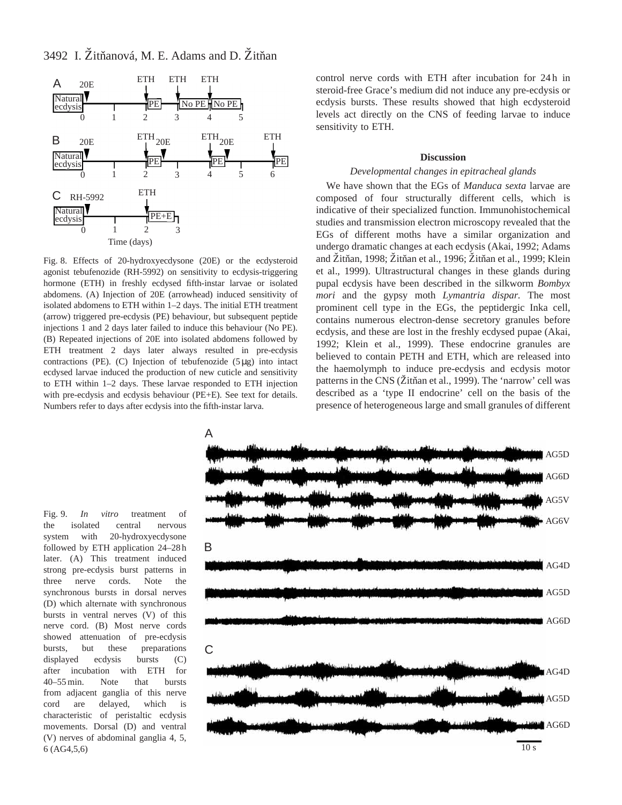3492 I. Žitňanová, M. E. Adams and D. Žitňan



Fig. 8. Effects of 20-hydroxyecdysone (20E) or the ecdysteroid agonist tebufenozide (RH-5992) on sensitivity to ecdysis-triggering hormone (ETH) in freshly ecdysed fifth-instar larvae or isolated abdomens. (A) Injection of 20E (arrowhead) induced sensitivity of isolated abdomens to ETH within 1–2 days. The initial ETH treatment (arrow) triggered pre-ecdysis (PE) behaviour, but subsequent peptide injections 1 and 2 days later failed to induce this behaviour (No PE). (B) Repeated injections of 20E into isolated abdomens followed by ETH treatment 2 days later always resulted in pre-ecdysis contractions (PE). (C) Injection of tebufenozide  $(5 \mu g)$  into intact ecdysed larvae induced the production of new cuticle and sensitivity to ETH within 1–2 days. These larvae responded to ETH injection with pre-ecdysis and ecdysis behaviour (PE+E). See text for details. Numbers refer to days after ecdysis into the fifth-instar larva.

control nerve cords with ETH after incubation for 24 h in steroid-free Grace's medium did not induce any pre-ecdysis or ecdysis bursts. These results showed that high ecdysteroid levels act directly on the CNS of feeding larvae to induce sensitivity to ETH.

### **Discussion**

### *Developmental changes in epitracheal glands*

We have shown that the EGs of *Manduca sexta* larvae are composed of four structurally different cells, which is indicative of their specialized function. Immunohistochemical studies and transmission electron microscopy revealed that the EGs of different moths have a similar organization and undergo dramatic changes at each ecdysis (Akai, 1992; Adams and Žitňan, 1998; Žitňan et al., 1996; Žitňan et al., 1999; Klein et al., 1999). Ultrastructural changes in these glands during pupal ecdysis have been described in the silkworm *Bombyx mori* and the gypsy moth *Lymantria dispar.* The most prominent cell type in the EGs, the peptidergic Inka cell, contains numerous electron-dense secretory granules before ecdysis, and these are lost in the freshly ecdysed pupae (Akai, 1992; Klein et al., 1999). These endocrine granules are believed to contain PETH and ETH, which are released into the haemolymph to induce pre-ecdysis and ecdysis motor patterns in the CNS (Žitňan et al., 1999). The 'narrow' cell was described as a 'type II endocrine' cell on the basis of the presence of heterogeneous large and small granules of different

Fig. 9. *In vitro* treatment of the isolated central nervous system with 20-hydroxyecdysone followed by ETH application 24–28 h later. (A) This treatment induced strong pre-ecdysis burst patterns in three nerve cords. Note the synchronous bursts in dorsal nerves (D) which alternate with synchronous bursts in ventral nerves (V) of this nerve cord. (B) Most nerve cords showed attenuation of pre-ecdysis bursts, but these preparations displayed ecdysis bursts (C) after incubation with ETH for 40–55 min. Note that bursts from adjacent ganglia of this nerve cord are delayed, which is characteristic of peristaltic ecdysis movements. Dorsal (D) and ventral (V) nerves of abdominal ganglia 4, 5, 6 (AG4,5,6)

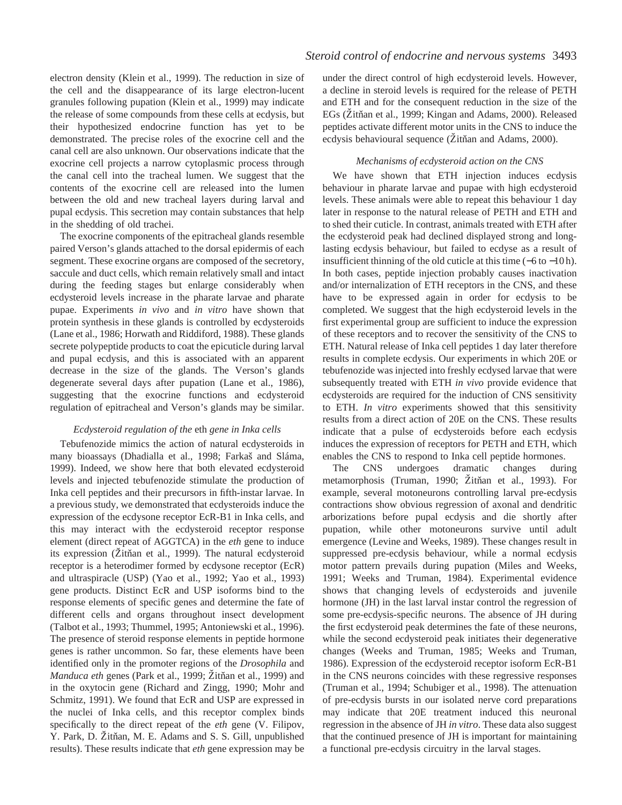electron density (Klein et al., 1999). The reduction in size of the cell and the disappearance of its large electron-lucent granules following pupation (Klein et al., 1999) may indicate the release of some compounds from these cells at ecdysis, but their hypothesized endocrine function has yet to be demonstrated. The precise roles of the exocrine cell and the canal cell are also unknown. Our observations indicate that the exocrine cell projects a narrow cytoplasmic process through the canal cell into the tracheal lumen. We suggest that the contents of the exocrine cell are released into the lumen between the old and new tracheal layers during larval and pupal ecdysis. This secretion may contain substances that help in the shedding of old trachei.

The exocrine components of the epitracheal glands resemble paired Verson's glands attached to the dorsal epidermis of each segment. These exocrine organs are composed of the secretory, saccule and duct cells, which remain relatively small and intact during the feeding stages but enlarge considerably when ecdysteroid levels increase in the pharate larvae and pharate pupae. Experiments *in vivo* and *in vitro* have shown that protein synthesis in these glands is controlled by ecdysteroids (Lane et al., 1986; Horwath and Riddiford, 1988). These glands secrete polypeptide products to coat the epicuticle during larval and pupal ecdysis, and this is associated with an apparent decrease in the size of the glands. The Verson's glands degenerate several days after pupation (Lane et al., 1986), suggesting that the exocrine functions and ecdysteroid regulation of epitracheal and Verson's glands may be similar.

# *Ecdysteroid regulation of the* eth *gene in Inka cells*

Tebufenozide mimics the action of natural ecdysteroids in many bioassays (Dhadialla et al., 1998; Farkaš and Sláma, 1999). Indeed, we show here that both elevated ecdysteroid levels and injected tebufenozide stimulate the production of Inka cell peptides and their precursors in fifth-instar larvae. In a previous study, we demonstrated that ecdysteroids induce the expression of the ecdysone receptor EcR-B1 in Inka cells, and this may interact with the ecdysteroid receptor response element (direct repeat of AGGTCA) in the *eth* gene to induce its expression (Žitňan et al., 1999). The natural ecdysteroid receptor is a heterodimer formed by ecdysone receptor (EcR) and ultraspiracle (USP) (Yao et al., 1992; Yao et al., 1993) gene products. Distinct EcR and USP isoforms bind to the response elements of specific genes and determine the fate of different cells and organs throughout insect development (Talbot et al., 1993; Thummel, 1995; Antoniewski et al., 1996). The presence of steroid response elements in peptide hormone genes is rather uncommon. So far, these elements have been identified only in the promoter regions of the *Drosophila* and *Manduca eth* genes (Park et al., 1999; Žitňan et al., 1999) and in the oxytocin gene (Richard and Zingg, 1990; Mohr and Schmitz, 1991). We found that EcR and USP are expressed in the nuclei of Inka cells, and this receptor complex binds specifically to the direct repeat of the *eth* gene (V. Filipov, Y. Park, D. Žitňan, M. E. Adams and S. S. Gill, unpublished results). These results indicate that *eth* gene expression may be

under the direct control of high ecdysteroid levels. However, a decline in steroid levels is required for the release of PETH and ETH and for the consequent reduction in the size of the EGs (Zitňan et al., 1999; Kingan and Adams, 2000). Released peptides activate different motor units in the CNS to induce the ecdysis behavioural sequence (Žitňan and Adams, 2000).

## *Mechanisms of ecdysteroid action on the CNS*

We have shown that ETH injection induces ecdysis behaviour in pharate larvae and pupae with high ecdysteroid levels. These animals were able to repeat this behaviour 1 day later in response to the natural release of PETH and ETH and to shed their cuticle. In contrast, animals treated with ETH after the ecdysteroid peak had declined displayed strong and longlasting ecdysis behaviour, but failed to ecdyse as a result of insufficient thinning of the old cuticle at this time (−6 to −10 h). In both cases, peptide injection probably causes inactivation and/or internalization of ETH receptors in the CNS, and these have to be expressed again in order for ecdysis to be completed. We suggest that the high ecdysteroid levels in the first experimental group are sufficient to induce the expression of these receptors and to recover the sensitivity of the CNS to ETH. Natural release of Inka cell peptides 1 day later therefore results in complete ecdysis. Our experiments in which 20E or tebufenozide was injected into freshly ecdysed larvae that were subsequently treated with ETH *in vivo* provide evidence that ecdysteroids are required for the induction of CNS sensitivity to ETH. *In vitro* experiments showed that this sensitivity results from a direct action of 20E on the CNS. These results indicate that a pulse of ecdysteroids before each ecdysis induces the expression of receptors for PETH and ETH, which enables the CNS to respond to Inka cell peptide hormones.

The CNS undergoes dramatic changes during metamorphosis (Truman, 1990; Žitňan et al., 1993). For example, several motoneurons controlling larval pre-ecdysis contractions show obvious regression of axonal and dendritic arborizations before pupal ecdysis and die shortly after pupation, while other motoneurons survive until adult emergence (Levine and Weeks, 1989). These changes result in suppressed pre-ecdysis behaviour, while a normal ecdysis motor pattern prevails during pupation (Miles and Weeks, 1991; Weeks and Truman, 1984). Experimental evidence shows that changing levels of ecdysteroids and juvenile hormone (JH) in the last larval instar control the regression of some pre-ecdysis-specific neurons. The absence of JH during the first ecdysteroid peak determines the fate of these neurons, while the second ecdysteroid peak initiates their degenerative changes (Weeks and Truman, 1985; Weeks and Truman, 1986). Expression of the ecdysteroid receptor isoform EcR-B1 in the CNS neurons coincides with these regressive responses (Truman et al., 1994; Schubiger et al., 1998). The attenuation of pre-ecdysis bursts in our isolated nerve cord preparations may indicate that 20E treatment induced this neuronal regression in the absence of JH *in vitro*. These data also suggest that the continued presence of JH is important for maintaining a functional pre-ecdysis circuitry in the larval stages.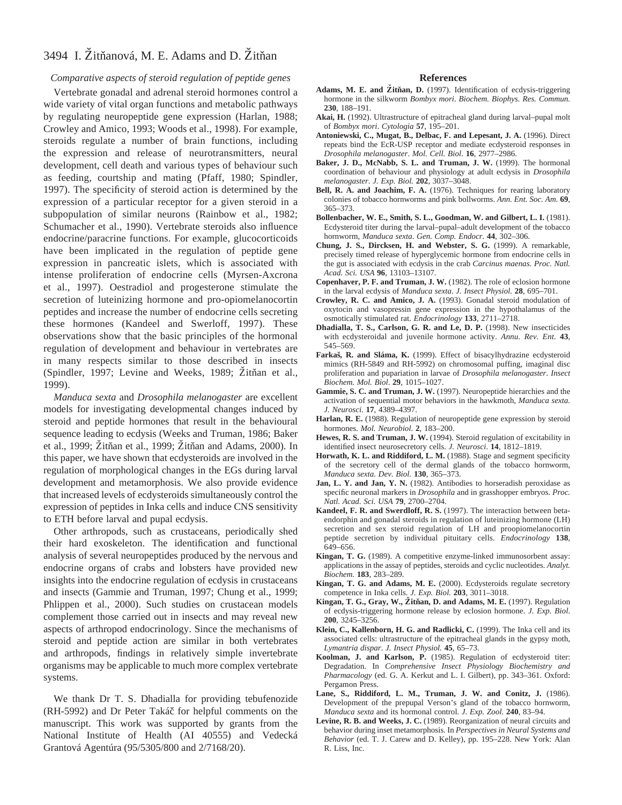# 3494 I. Žitňanová, M. E. Adams and D. Žitňan

## *Comparative aspects of steroid regulation of peptide genes*

Vertebrate gonadal and adrenal steroid hormones control a wide variety of vital organ functions and metabolic pathways by regulating neuropeptide gene expression (Harlan, 1988; Crowley and Amico, 1993; Woods et al., 1998). For example, steroids regulate a number of brain functions, including the expression and release of neurotransmitters, neural development, cell death and various types of behaviour such as feeding, courtship and mating (Pfaff, 1980; Spindler, 1997). The specificity of steroid action is determined by the expression of a particular receptor for a given steroid in a subpopulation of similar neurons (Rainbow et al., 1982; Schumacher et al., 1990). Vertebrate steroids also influence endocrine/paracrine functions. For example, glucocorticoids have been implicated in the regulation of peptide gene expression in pancreatic islets, which is associated with intense proliferation of endocrine cells (Myrsen-Axcrona et al., 1997). Oestradiol and progesterone stimulate the secretion of luteinizing hormone and pro-opiomelanocortin peptides and increase the number of endocrine cells secreting these hormones (Kandeel and Swerloff, 1997). These observations show that the basic principles of the hormonal regulation of development and behaviour in vertebrates are in many respects similar to those described in insects (Spindler, 1997; Levine and Weeks, 1989; Žitňan et al., 1999).

*Manduca sexta* and *Drosophila melanogaster* are excellent models for investigating developmental changes induced by steroid and peptide hormones that result in the behavioural sequence leading to ecdysis (Weeks and Truman, 1986; Baker et al., 1999; Žitňan et al., 1999; Žitňan and Adams, 2000). In this paper, we have shown that ecdysteroids are involved in the regulation of morphological changes in the EGs during larval development and metamorphosis. We also provide evidence that increased levels of ecdysteroids simultaneously control the expression of peptides in Inka cells and induce CNS sensitivity to ETH before larval and pupal ecdysis.

Other arthropods, such as crustaceans, periodically shed their hard exoskeleton. The identification and functional analysis of several neuropeptides produced by the nervous and endocrine organs of crabs and lobsters have provided new insights into the endocrine regulation of ecdysis in crustaceans and insects (Gammie and Truman, 1997; Chung et al., 1999; Phlippen et al., 2000). Such studies on crustacean models complement those carried out in insects and may reveal new aspects of arthropod endocrinology. Since the mechanisms of steroid and peptide action are similar in both vertebrates and arthropods, findings in relatively simple invertebrate organisms may be applicable to much more complex vertebrate systems.

We thank Dr T. S. Dhadialla for providing tebufenozide (RH-5992) and Dr Peter Takác**˘** for helpful comments on the manuscript. This work was supported by grants from the National Institute of Health (AI 40555) and Vedecká Grantová Agentúra (95/5305/800 and 2/7168/20).

### **References**

- Adams, M. E. and Žitňan, D. (1997). Identification of ecdysis-triggering hormone in the silkworm *Bombyx mori*. *Biochem. Biophys. Res. Commun.* **230**, 188–191.
- **Akai, H.** (1992). Ultrastructure of epitracheal gland during larval–pupal molt of *Bombyx mori*. *Cytologia* **57**, 195–201.
- **Antoniewski, C., Mugat, B., Delbac, F. and Lepesant, J. A.** (1996). Direct repeats bind the EcR-USP receptor and mediate ecdysteroid responses in *Drosophila melanogaster*. *Mol. Cell. Biol*. **16**, 2977–2986.
- **Baker, J. D., McNabb, S. L. and Truman, J. W.** (1999). The hormonal coordination of behaviour and physiology at adult ecdysis in *Drosophila melanogaster*. *J. Exp. Biol.* **202**, 3037–3048.
- **Bell, R. A. and Joachim, F. A.** (1976). Techniques for rearing laboratory colonies of tobacco hornworms and pink bollworms. *Ann. Ent. Soc. Am.* **69**, 365–373.
- **Bollenbacher, W. E., Smith, S. L., Goodman, W. and Gilbert, L. I.** (1981). Ecdysteroid titer during the larval–pupal–adult development of the tobacco hornworm, *Manduca sexta*. *Gen. Comp. Endocr.* **44**, 302–306.
- **Chung, J. S., Dircksen, H. and Webster, S. G.** (1999). A remarkable, precisely timed release of hyperglycemic hormone from endocrine cells in the gut is associated with ecdysis in the crab *Carcinus maenas*. *Proc. Natl. Acad. Sci. USA* **96**, 13103–13107.
- **Copenhaver, P. F. and Truman, J. W.** (1982). The role of eclosion hormone in the larval ecdysis of *Manduca sexta*. *J. Insect Physiol.* **28**, 695–701.
- **Crowley, R. C. and Amico, J. A.** (1993). Gonadal steroid modulation of oxytocin and vasopressin gene expression in the hypothalamus of the osmotically stimulated rat. *Endocrinology* **133**, 2711–2718.
- **Dhadialla, T. S., Carlson, G. R. and Le, D. P.** (1998). New insecticides with ecdysteroidal and juvenile hormone activity. *Annu. Rev. Ent.* **43**, 545–569.
- Farkas, R. and Sláma, K. (1999). Effect of bisacylhydrazine ecdysteroid mimics (RH-5849 and RH-5992) on chromosomal puffing, imaginal disc proliferation and pupariation in larvae of *Drosophila melanogaster*. *Insect Biochem. Mol. Biol*. **29**, 1015–1027.
- **Gammie, S. C. and Truman, J. W.** (1997). Neuropeptide hierarchies and the activation of sequential motor behaviors in the hawkmoth, *Manduca sexta. J. Neurosci.* **17**, 4389–4397.
- **Harlan, R. E.** (1988). Regulation of neuropeptide gene expression by steroid hormones. *Mol. Neurobiol.* **2**, 183–200.
- **Hewes, R. S. and Truman, J. W.** (1994). Steroid regulation of excitability in identified insect neurosecretory cells. *J. Neurosci*. **14**, 1812–1819.
- **Horwath, K. L. and Riddiford, L. M.** (1988). Stage and segment specificity of the secretory cell of the dermal glands of the tobacco hornworm, *Manduca sexta. Dev. Biol.* **130**, 365–373.
- Jan, L. Y. and Jan, Y. N. (1982). Antibodies to horseradish peroxidase as specific neuronal markers in *Drosophila* and in grasshopper embryos. *Proc. Natl. Acad. Sci. USA* **79**, 2700–2704.
- **Kandeel, F. R. and Swerdloff, R. S.** (1997). The interaction between betaendorphin and gonadal steroids in regulation of luteinizing hormone (LH) secretion and sex steroid regulation of LH and proopiomelanocortin peptide secretion by individual pituitary cells. *Endocrinology* **138**, 649–656.
- **Kingan, T. G.** (1989). A competitive enzyme-linked immunosorbent assay: applications in the assay of peptides, steroids and cyclic nucleotides. *Analyt. Biochem.* **183**, 283–289.
- **Kingan, T. G. and Adams, M. E.** (2000). Ecdysteroids regulate secretory competence in Inka cells. *J. Exp. Biol.* **203**, 3011–3018.
- **Kingan, T. G., Gray, W., Žitňan, D. and Adams, M. E.** (1997). Regulation of ecdysis-triggering hormone release by eclosion hormone. *J. Exp. Biol*. **200**, 3245–3256.
- **Klein, C., Kallenborn, H. G. and Radlicki, C.** (1999). The Inka cell and its associated cells: ultrastructure of the epitracheal glands in the gypsy moth, *Lymantria dispar*. *J. Insect Physiol.* **45**, 65–73.
- **Koolman, J. and Karlson, P.** (1985). Regulation of ecdysteroid titer: Degradation. In *Comprehensive Insect Physiology Biochemistry and Pharmacology* (ed. G. A. Kerkut and L. I. Gilbert), pp. 343–361. Oxford: Pergamon Press.
- **Lane, S., Riddiford, L. M., Truman, J. W. and Conitz, J.** (1986). Development of the prepupal Verson's gland of the tobacco hornworm, *Manduca sexta* and its hormonal control. *J. Exp. Zool.* **240**, 83–94.
- **Levine, R. B. and Weeks, J. C.** (1989). Reorganization of neural circuits and behavior during inset metamorphosis. In *Perspectives in Neural Systems and Behavior* (ed. T. J. Carew and D. Kelley), pp. 195–228. New York: Alan R. Liss, Inc.